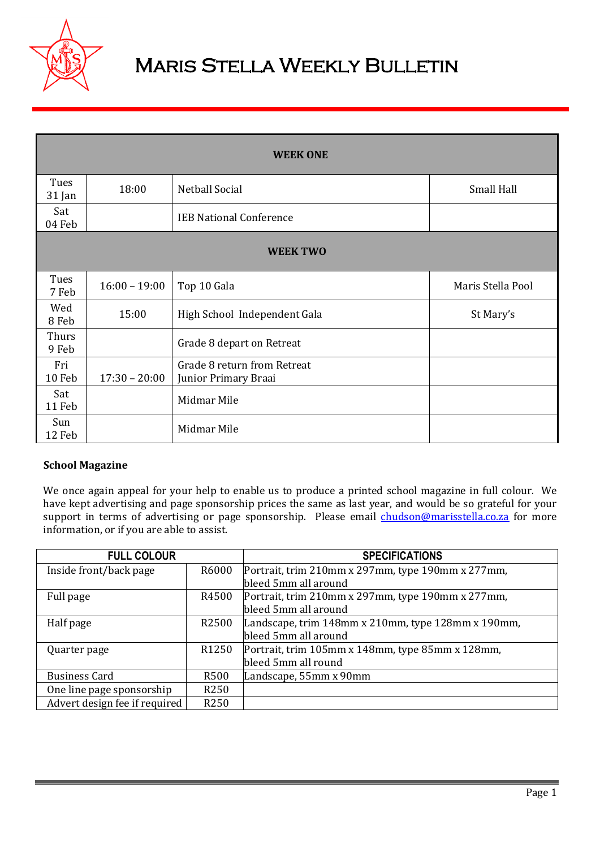

# Maris Stella Weekly Bulletin

| <b>WEEK ONE</b>  |                 |                                                     |                   |  |  |  |  |
|------------------|-----------------|-----------------------------------------------------|-------------------|--|--|--|--|
| Tues<br>$31$ Jan | 18:00           | Netball Social                                      | Small Hall        |  |  |  |  |
| Sat<br>04 Feb    |                 | <b>IEB National Conference</b>                      |                   |  |  |  |  |
| <b>WEEK TWO</b>  |                 |                                                     |                   |  |  |  |  |
| Tues<br>7 Feb    | $16:00 - 19:00$ | Top 10 Gala                                         | Maris Stella Pool |  |  |  |  |
| Wed<br>8 Feb     | 15:00           | High School Independent Gala                        | St Mary's         |  |  |  |  |
| Thurs<br>9 Feb   |                 | Grade 8 depart on Retreat                           |                   |  |  |  |  |
| Fri<br>10 Feb    | $17:30 - 20:00$ | Grade 8 return from Retreat<br>Junior Primary Braai |                   |  |  |  |  |
| Sat<br>11 Feb    |                 | Midmar Mile                                         |                   |  |  |  |  |
| Sun<br>12 Feb    |                 | Midmar Mile                                         |                   |  |  |  |  |

# **School Magazine**

We once again appeal for your help to enable us to produce a printed school magazine in full colour. We have kept advertising and page sponsorship prices the same as last year, and would be so grateful for your support in terms of advertising or page sponsorship. Please email [chudson@marisstella.co.za](mailto:chudson@marisstella.co.za) for more information, or if you are able to assist.

| <b>FULL COLOUR</b>            |                   | <b>SPECIFICATIONS</b>                              |
|-------------------------------|-------------------|----------------------------------------------------|
| Inside front/back page        | R6000             | Portrait, trim 210mm x 297mm, type 190mm x 277mm,  |
|                               |                   | bleed 5mm all around                               |
| Full page                     | R4500             | Portrait, trim 210mm x 297mm, type 190mm x 277mm,  |
|                               |                   | bleed 5mm all around                               |
| Half page                     | R <sub>2500</sub> | Landscape, trim 148mm x 210mm, type 128mm x 190mm, |
|                               |                   | bleed 5mm all around                               |
| Quarter page                  | R <sub>1250</sub> | Portrait, trim 105mm x 148mm, type 85mm x 128mm,   |
|                               |                   | bleed 5mm all round                                |
| <b>Business Card</b>          | R500              | Landscape, 55mm x 90mm                             |
| One line page sponsorship     | R <sub>250</sub>  |                                                    |
| Advert design fee if required | R <sub>250</sub>  |                                                    |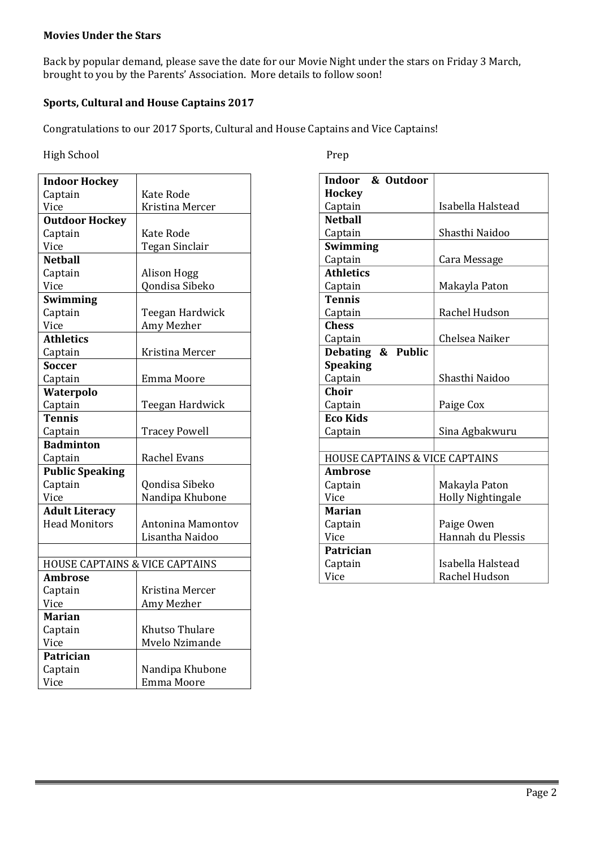## **Movies Under the Stars**

Back by popular demand, please save the date for our Movie Night under the stars on Friday 3 March, brought to you by the Parents' Association. More details to follow soon!

## **Sports, Cultural and House Captains 2017**

Congratulations to our 2017 Sports, Cultural and House Captains and Vice Captains!

#### High School Prep

| <b>Indoor Hockey</b>                      |                      |  |  |  |
|-------------------------------------------|----------------------|--|--|--|
| Captain                                   | Kate Rode            |  |  |  |
| Vice                                      | Kristina Mercer      |  |  |  |
| <b>Outdoor Hockey</b>                     |                      |  |  |  |
| Captain                                   | Kate Rode            |  |  |  |
| Vice                                      | Tegan Sinclair       |  |  |  |
| <b>Netball</b>                            |                      |  |  |  |
| Captain                                   | Alison Hogg          |  |  |  |
| Vice                                      | Qondisa Sibeko       |  |  |  |
| <b>Swimming</b>                           |                      |  |  |  |
| Captain                                   | Teegan Hardwick      |  |  |  |
| Vice                                      | Amy Mezher           |  |  |  |
| <b>Athletics</b>                          |                      |  |  |  |
| Captain                                   | Kristina Mercer      |  |  |  |
| <b>Soccer</b>                             |                      |  |  |  |
| Captain                                   | Emma Moore           |  |  |  |
| Waterpolo                                 |                      |  |  |  |
| Captain                                   | Teegan Hardwick      |  |  |  |
| <b>Tennis</b>                             |                      |  |  |  |
| Captain                                   | <b>Tracey Powell</b> |  |  |  |
| <b>Badminton</b>                          |                      |  |  |  |
| Captain                                   | <b>Rachel Evans</b>  |  |  |  |
| <b>Public Speaking</b>                    |                      |  |  |  |
| Captain                                   | Qondisa Sibeko       |  |  |  |
| Vice                                      | Nandipa Khubone      |  |  |  |
| <b>Adult Literacy</b>                     |                      |  |  |  |
| <b>Head Monitors</b>                      | Antonina Mamontov    |  |  |  |
|                                           | Lisantha Naidoo      |  |  |  |
|                                           |                      |  |  |  |
| <b>HOUSE CAPTAINS &amp; VICE CAPTAINS</b> |                      |  |  |  |
| <b>Ambrose</b>                            |                      |  |  |  |
| Captain                                   | Kristina Mercer      |  |  |  |
| Vice                                      | Amy Mezher           |  |  |  |
| <b>Marian</b>                             |                      |  |  |  |
| Captain                                   | Khutso Thulare       |  |  |  |
| Vice                                      | Mvelo Nzimande       |  |  |  |
| Patrician                                 |                      |  |  |  |
| Captain                                   | Nandipa Khubone      |  |  |  |
| Vice                                      | <b>Emma Moore</b>    |  |  |  |

| & Outdoor<br>Indoor                       |                          |  |  |  |
|-------------------------------------------|--------------------------|--|--|--|
| <b>Hockey</b>                             |                          |  |  |  |
| Captain                                   | Isabella Halstead        |  |  |  |
| <b>Netball</b>                            |                          |  |  |  |
| Captain                                   | Shasthi Naidoo           |  |  |  |
| Swimming                                  |                          |  |  |  |
| Captain                                   | Cara Message             |  |  |  |
| <b>Athletics</b>                          |                          |  |  |  |
| Captain                                   | Makayla Paton            |  |  |  |
| <b>Tennis</b>                             |                          |  |  |  |
| Captain                                   | Rachel Hudson            |  |  |  |
| <b>Chess</b>                              |                          |  |  |  |
| Captain                                   | Chelsea Naiker           |  |  |  |
| Debating & Public                         |                          |  |  |  |
| <b>Speaking</b>                           |                          |  |  |  |
| Captain                                   | Shasthi Naidoo           |  |  |  |
| Choir                                     |                          |  |  |  |
| Captain                                   | Paige Cox                |  |  |  |
| <b>Eco Kids</b>                           |                          |  |  |  |
| Captain                                   | Sina Agbakwuru           |  |  |  |
|                                           |                          |  |  |  |
| <b>HOUSE CAPTAINS &amp; VICE CAPTAINS</b> |                          |  |  |  |
| <b>Ambrose</b>                            |                          |  |  |  |
| Captain                                   | Makayla Paton            |  |  |  |
| Vice                                      | <b>Holly Nightingale</b> |  |  |  |
| Marian                                    |                          |  |  |  |
| Captain                                   | Paige Owen               |  |  |  |
| Vice                                      | Hannah du Plessis        |  |  |  |
| Patrician                                 |                          |  |  |  |
| Captain                                   | Isabella Halstead        |  |  |  |
| Vice                                      | Rachel Hudson            |  |  |  |
|                                           |                          |  |  |  |